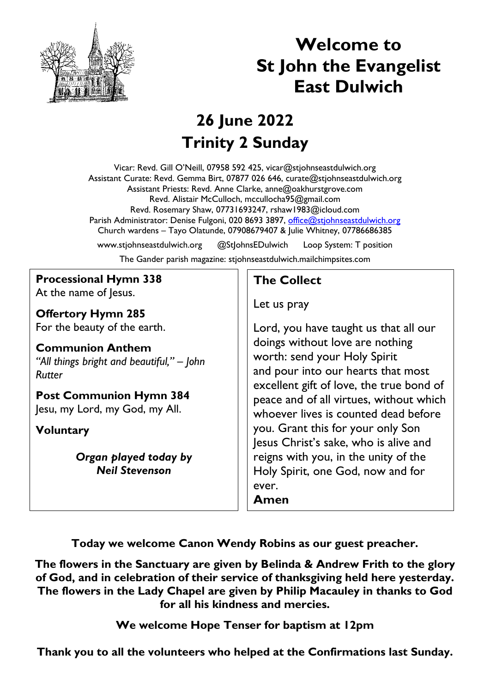

# **Welcome to St John the Evangelist East Dulwich**

## **26 June 2022 Trinity 2 Sunday**

Vicar: Revd. Gill O'Neill, 07958 592 425, vicar@stjohnseastdulwich.org Assistant Curate: Revd. Gemma Birt, 07877 026 646, curate@stjohnseastdulwich.org Assistant Priests: Revd. Anne Clarke, anne@oakhurstgrove.com Revd. Alistair McCulloch, mccullocha95@gmail.com Revd. Rosemary Shaw, 07731693247, rshaw1983@icloud.com Parish Administrator: Denise Fulgoni, 020 8693 3897, [office@stjohnseastdulwich.org](mailto:office@stjohnseastdulwich.org) Church wardens – Tayo Olatunde, 07908679407 & Julie Whitney, 07786686385

www.stjohnseastdulwich.org @StJohnsEDulwich Loop System: T position The Gander parish magazine: stjohnseastdulwich.mailchimpsites.com

#### **Processional Hymn 338** At the name of lesus.

**Offertory Hymn 285** For the beauty of the earth.

**Communion Anthem** *"All things bright and beautiful," – John Rutter*

**Post Communion Hymn 384** Jesu, my Lord, my God, my All.

**Voluntary**

*Organ played today by Neil Stevenson*

### **The Collect**

Let us pray

Lord, you have taught us that all our doings without love are nothing worth: send your Holy Spirit and pour into our hearts that most excellent gift of love, the true bond of peace and of all virtues, without which whoever lives is counted dead before you. Grant this for your only Son Jesus Christ's sake, who is alive and reigns with you, in the unity of the Holy Spirit, one God, now and for ever. **Amen**

**Today we welcome Canon Wendy Robins as our guest preacher.**

**The flowers in the Sanctuary are given by Belinda & Andrew Frith to the glory of God, and in celebration of their service of thanksgiving held here yesterday. The flowers in the Lady Chapel are given by Philip Macauley in thanks to God for all his kindness and mercies.**

**We welcome Hope Tenser for baptism at 12pm**

**Thank you to all the volunteers who helped at the Confirmations last Sunday.**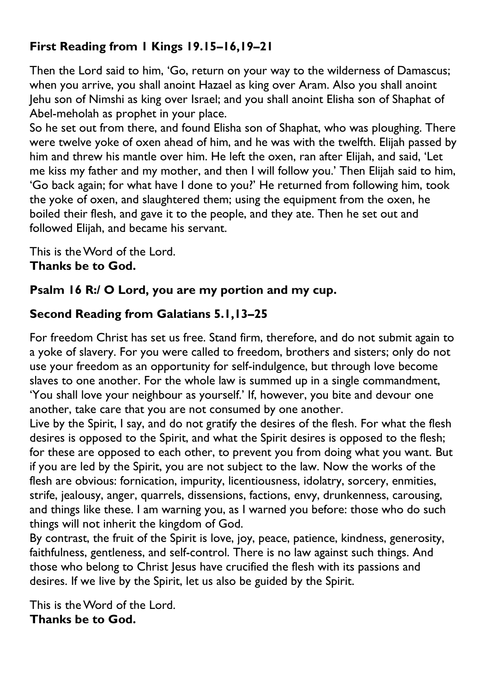### **First Reading from 1 Kings 19.15–16,19–21**

Then the Lord said to him, 'Go, return on your way to the wilderness of Damascus; when you arrive, you shall anoint Hazael as king over Aram. Also you shall anoint Jehu son of Nimshi as king over Israel; and you shall anoint Elisha son of Shaphat of Abel-meholah as prophet in your place.

So he set out from there, and found Elisha son of Shaphat, who was ploughing. There were twelve yoke of oxen ahead of him, and he was with the twelfth. Elijah passed by him and threw his mantle over him. He left the oxen, ran after Elijah, and said, 'Let me kiss my father and my mother, and then I will follow you.' Then Elijah said to him, 'Go back again; for what have I done to you?' He returned from following him, took the yoke of oxen, and slaughtered them; using the equipment from the oxen, he boiled their flesh, and gave it to the people, and they ate. Then he set out and followed Elijah, and became his servant.

This is the Word of the Lord. **Thanks be to God.**

#### **Psalm 16 R:/ O Lord, you are my portion and my cup.**

#### **Second Reading from Galatians 5.1,13–25**

For freedom Christ has set us free. Stand firm, therefore, and do not submit again to a yoke of slavery. For you were called to freedom, brothers and sisters; only do not use your freedom as an opportunity for self-indulgence, but through love become slaves to one another. For the whole law is summed up in a single commandment, 'You shall love your neighbour as yourself.' If, however, you bite and devour one another, take care that you are not consumed by one another.

Live by the Spirit, I say, and do not gratify the desires of the flesh. For what the flesh desires is opposed to the Spirit, and what the Spirit desires is opposed to the flesh; for these are opposed to each other, to prevent you from doing what you want. But if you are led by the Spirit, you are not subject to the law. Now the works of the flesh are obvious: fornication, impurity, licentiousness, idolatry, sorcery, enmities, strife, jealousy, anger, quarrels, dissensions, factions, envy, drunkenness, carousing, and things like these. I am warning you, as I warned you before: those who do such things will not inherit the kingdom of God.

By contrast, the fruit of the Spirit is love, joy, peace, patience, kindness, generosity, faithfulness, gentleness, and self-control. There is no law against such things. And those who belong to Christ Jesus have crucified the flesh with its passions and desires. If we live by the Spirit, let us also be guided by the Spirit.

This is the Word of the Lord. **Thanks be to God.**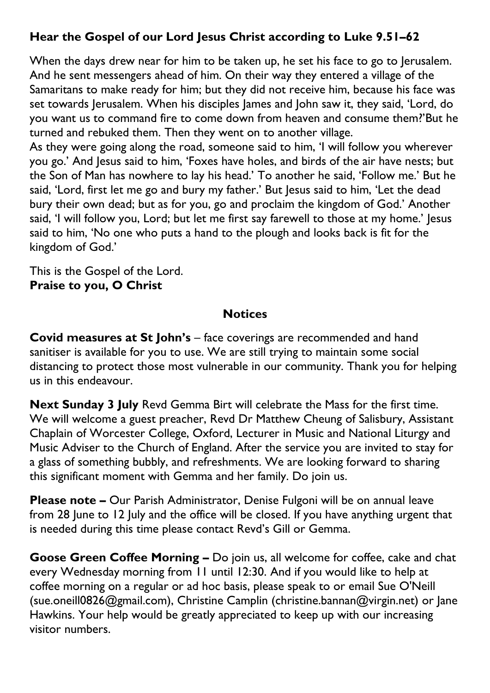#### **Hear the Gospel of our Lord Jesus Christ according to Luke 9.51–62**

When the days drew near for him to be taken up, he set his face to go to Jerusalem. And he sent messengers ahead of him. On their way they entered a village of the Samaritans to make ready for him; but they did not receive him, because his face was set towards Jerusalem. When his disciples James and John saw it, they said, 'Lord, do you want us to command fire to come down from heaven and consume them?'But he turned and rebuked them. Then they went on to another village.

As they were going along the road, someone said to him, 'I will follow you wherever you go.' And Jesus said to him, 'Foxes have holes, and birds of the air have nests; but the Son of Man has nowhere to lay his head.' To another he said, 'Follow me.' But he said, 'Lord, first let me go and bury my father.' But Jesus said to him, 'Let the dead bury their own dead; but as for you, go and proclaim the kingdom of God.' Another said, 'I will follow you, Lord; but let me first say farewell to those at my home.' Jesus said to him, 'No one who puts a hand to the plough and looks back is fit for the kingdom of God.'

This is the Gospel of the Lord. **Praise to you, O Christ**

#### **Notices**

**Covid measures at St John's** – face coverings are recommended and hand sanitiser is available for you to use. We are still trying to maintain some social distancing to protect those most vulnerable in our community. Thank you for helping us in this endeavour.

**Next Sunday 3 July** Revd Gemma Birt will celebrate the Mass for the first time. We will welcome a guest preacher, Revd Dr Matthew Cheung of Salisbury, Assistant Chaplain of Worcester College, Oxford, Lecturer in Music and National Liturgy and Music Adviser to the Church of England. After the service you are invited to stay for a glass of something bubbly, and refreshments. We are looking forward to sharing this significant moment with Gemma and her family. Do join us.

**Please note –** Our Parish Administrator, Denise Fulgoni will be on annual leave from 28 June to 12 July and the office will be closed. If you have anything urgent that is needed during this time please contact Revd's Gill or Gemma.

**Goose Green Coffee Morning –** Do join us, all welcome for coffee, cake and chat every Wednesday morning from 11 until 12:30. And if you would like to help at coffee morning on a regular or ad hoc basis, please speak to or email Sue O'Neill (sue.oneill0826@gmail.com), Christine Camplin (christine.bannan@virgin.net) or Jane Hawkins. Your help would be greatly appreciated to keep up with our increasing visitor numbers.